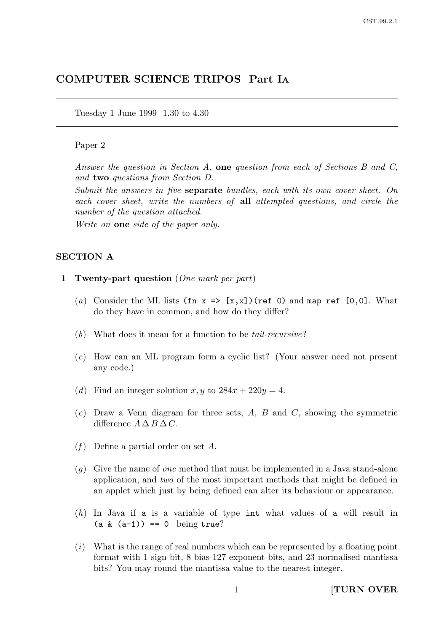# COMPUTER SCIENCE TRIPOS Part I<sup>A</sup>

Tuesday 1 June 1999 1.30 to 4.30

#### Paper 2

Answer the question in Section A, one question from each of Sections B and C, and two questions from Section D.

Submit the answers in five separate bundles, each with its own cover sheet. On each cover sheet, write the numbers of all attempted questions, and circle the number of the question attached.

Write on **one** side of the paper only.

### SECTION A

- 1 Twenty-part question (One mark per part)
	- (a) Consider the ML lists (fn  $x \Rightarrow [x,x]$ )(ref 0) and map ref [0,0]. What do they have in common, and how do they differ?
	- (b) What does it mean for a function to be tail-recursive?
	- (c) How can an ML program form a cyclic list? (Your answer need not present any code.)
	- (d) Find an integer solution  $x, y$  to  $284x + 220y = 4$ .
	- $(e)$  Draw a Venn diagram for three sets, A, B and C, showing the symmetric difference  $A \Delta B \Delta C$ .
	- $(f)$  Define a partial order on set A.
	- $(q)$  Give the name of one method that must be implemented in a Java stand-alone application, and two of the most important methods that might be defined in an applet which just by being defined can alter its behaviour or appearance.
	- (h) In Java if a is a variable of type int what values of a will result in  $(a & (a-1)) == 0$  being true?
	- $(i)$  What is the range of real numbers which can be represented by a floating point format with 1 sign bit, 8 bias-127 exponent bits, and 23 normalised mantissa bits? You may round the mantissa value to the nearest integer.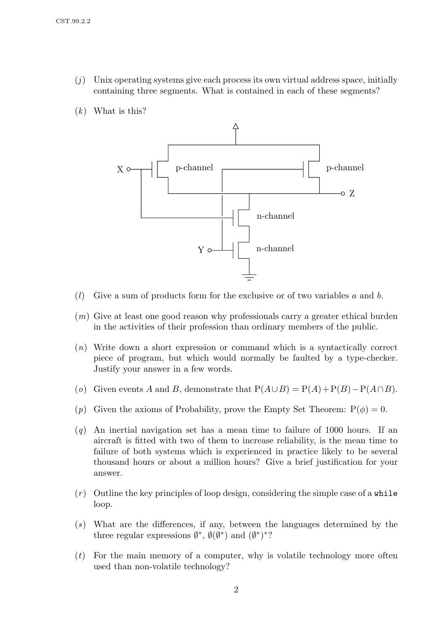- $(j)$  Unix operating systems give each process its own virtual address space, initially containing three segments. What is contained in each of these segments?
- $(k)$  What is this?



- $(l)$  Give a sum of products form for the exclusive or of two variables a and b.
- (m) Give at least one good reason why professionals carry a greater ethical burden in the activities of their profession than ordinary members of the public.
- (n) Write down a short expression or command which is a syntactically correct piece of program, but which would normally be faulted by a type-checker. Justify your answer in a few words.
- (o) Given events A and B, demonstrate that  $P(A \cup B) = P(A) + P(B) P(A \cap B)$ .
- (p) Given the axioms of Probability, prove the Empty Set Theorem:  $P(\phi) = 0$ .
- $(q)$  An inertial navigation set has a mean time to failure of 1000 hours. If an aircraft is fitted with two of them to increase reliability, is the mean time to failure of both systems which is experienced in practice likely to be several thousand hours or about a million hours? Give a brief justification for your answer.
- $(r)$  Outline the key principles of loop design, considering the simple case of a while loop.
- (s) What are the differences, if any, between the languages determined by the three regular expressions  $\emptyset^*, \emptyset(\emptyset^*)$  and  $(\emptyset^*)^*$ ?
- $(t)$  For the main memory of a computer, why is volatile technology more often used than non-volatile technology?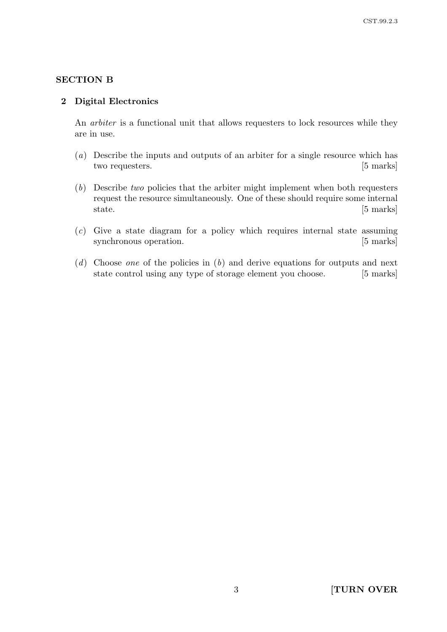# SECTION B

### 2 Digital Electronics

An arbiter is a functional unit that allows requesters to lock resources while they are in use.

- (a) Describe the inputs and outputs of an arbiter for a single resource which has two requesters. [5 marks]
- (b) Describe two policies that the arbiter might implement when both requesters request the resource simultaneously. One of these should require some internal state. [5 marks]
- (c) Give a state diagram for a policy which requires internal state assuming synchronous operation. [5 marks]
- (d) Choose one of the policies in  $(b)$  and derive equations for outputs and next state control using any type of storage element you choose. [5 marks]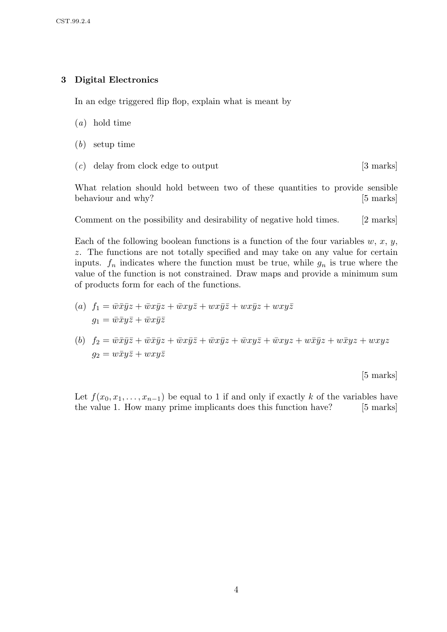# 3 Digital Electronics

In an edge triggered flip flop, explain what is meant by

- (a) hold time
- (b) setup time
- $(c)$  delay from clock edge to output [3 marks]

What relation should hold between two of these quantities to provide sensible behaviour and why? [5 marks]

Comment on the possibility and desirability of negative hold times. [2 marks]

Each of the following boolean functions is a function of the four variables  $w, x, y$ , z. The functions are not totally specified and may take on any value for certain inputs.  $f_n$  indicates where the function must be true, while  $g_n$  is true where the value of the function is not constrained. Draw maps and provide a minimum sum of products form for each of the functions.

- (a)  $f_1 = \overline{w}\overline{x}\overline{y}z + \overline{w}x\overline{y}z + \overline{w}xy\overline{z} + wx\overline{y}\overline{z} + wx\overline{y}z + wxyz$  $g_1 = \bar{w}\bar{x}y\bar{z} + \bar{w}x\bar{y}\bar{z}$
- (b)  $f_2 = \bar{w}\bar{x}\bar{y}\bar{z} + \bar{w}\bar{x}\bar{y}z + \bar{w}\bar{x}\bar{y}\bar{z} + \bar{w}\bar{x}\bar{y}z + \bar{w}\bar{x}\bar{y}z + \bar{w}\bar{x}\bar{y}z + \bar{w}\bar{x}\bar{y}z + \bar{w}\bar{x}\bar{y}z + \bar{w}\bar{x}\bar{y}z + \bar{w}\bar{x}\bar{y}z + \bar{w}\bar{x}\bar{y}z + \bar{w}\bar{x}\bar{y}z + \bar{w}\bar{x}\bar{y}z + \bar{w}\bar{x}\bar{y}z + \bar{w}\bar{x}\bar{$  $g_2 = w\bar{x}y\bar{z} + wxy\bar{z}$

[5 marks]

Let  $f(x_0, x_1, \ldots, x_{n-1})$  be equal to 1 if and only if exactly k of the variables have the value 1. How many prime implicants does this function have? [5 marks]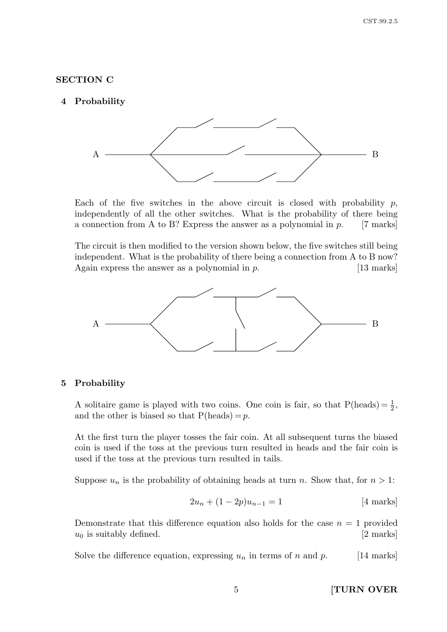### SECTION C

### 4 Probability



Each of the five switches in the above circuit is closed with probability  $p$ , independently of all the other switches. What is the probability of there being a connection from A to B? Express the answer as a polynomial in  $p$ . [7 marks]

The circuit is then modified to the version shown below, the five switches still being independent. What is the probability of there being a connection from A to B now? Again express the answer as a polynomial in  $p$ . [13 marks]



#### 5 Probability

A solitaire game is played with two coins. One coin is fair, so that  $P(\text{heads}) = \frac{1}{2}$ , and the other is biased so that  $P(\text{heads}) = p$ .

At the first turn the player tosses the fair coin. At all subsequent turns the biased coin is used if the toss at the previous turn resulted in heads and the fair coin is used if the toss at the previous turn resulted in tails.

Suppose  $u_n$  is the probability of obtaining heads at turn n. Show that, for  $n > 1$ :

$$
2u_n + (1 - 2p)u_{n-1} = 1
$$
 [4 marks]

Demonstrate that this difference equation also holds for the case  $n = 1$  provided  $u_0$  is suitably defined. [2 marks]

Solve the difference equation, expressing  $u_n$  in terms of n and p. [14 marks]

5 [TURN OVER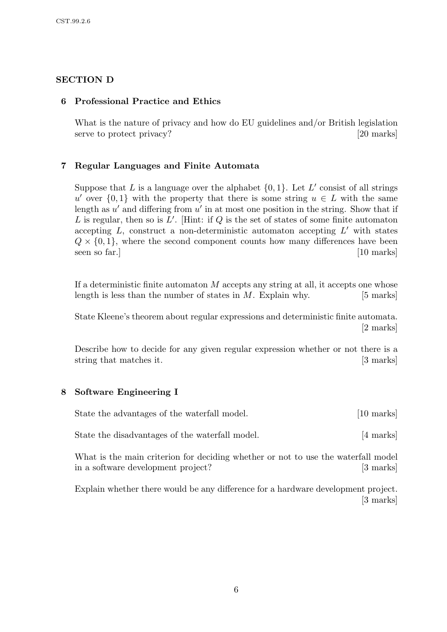# SECTION D

## 6 Professional Practice and Ethics

What is the nature of privacy and how do EU guidelines and/or British legislation serve to protect privacy? [20 marks]

# 7 Regular Languages and Finite Automata

Suppose that L is a language over the alphabet  $\{0, 1\}$ . Let L' consist of all strings u' over  $\{0,1\}$  with the property that there is some string  $u \in L$  with the same length as  $u'$  and differing from  $u'$  in at most one position in the string. Show that if L is regular, then so is  $L'$ . [Hint: if Q is the set of states of some finite automaton accepting  $L$ , construct a non-deterministic automaton accepting  $L'$  with states  $Q \times \{0,1\}$ , where the second component counts how many differences have been seen so far.] [10 marks]

If a deterministic finite automaton  $M$  accepts any string at all, it accepts one whose length is less than the number of states in  $M$ . Explain why. [5 marks]

State Kleene's theorem about regular expressions and deterministic finite automata. [2 marks]

Describe how to decide for any given regular expression whether or not there is a string that matches it. [3 marks]

### 8 Software Engineering I

| State the advantages of the waterfall model. | $[10 \text{ marks}]$ |
|----------------------------------------------|----------------------|
|----------------------------------------------|----------------------|

State the disadvantages of the waterfall model. [4 marks]

What is the main criterion for deciding whether or not to use the waterfall model in a software development project? [3 marks]

Explain whether there would be any difference for a hardware development project. [3 marks]